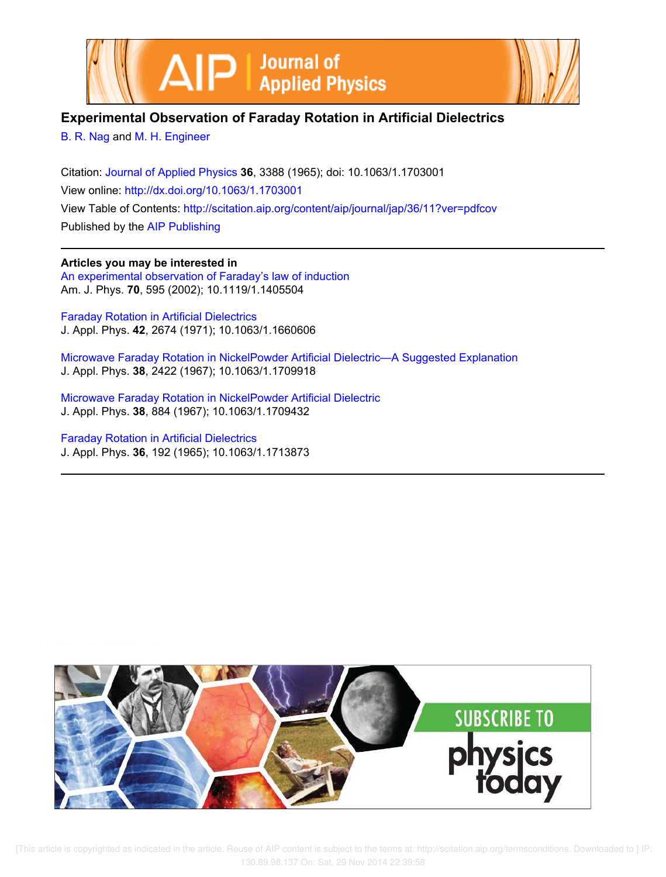



# **Experimental Observation of Faraday Rotation in Artificial Dielectrics**

B. R. Nag and M. H. Engineer

Citation: Journal of Applied Physics **36**, 3388 (1965); doi: 10.1063/1.1703001 View online: http://dx.doi.org/10.1063/1.1703001 View Table of Contents: http://scitation.aip.org/content/aip/journal/jap/36/11?ver=pdfcov Published by the AIP Publishing

**Articles you may be interested in** An experimental observation of Faraday's law of induction Am. J. Phys. **70**, 595 (2002); 10.1119/1.1405504

Faraday Rotation in Artificial Dielectrics J. Appl. Phys. **42**, 2674 (1971); 10.1063/1.1660606

Microwave Faraday Rotation in NickelPowder Artificial Dielectric—A Suggested Explanation J. Appl. Phys. **38**, 2422 (1967); 10.1063/1.1709918

Microwave Faraday Rotation in NickelPowder Artificial Dielectric J. Appl. Phys. **38**, 884 (1967); 10.1063/1.1709432

Faraday Rotation in Artificial Dielectrics J. Appl. Phys. **36**, 192 (1965); 10.1063/1.1713873

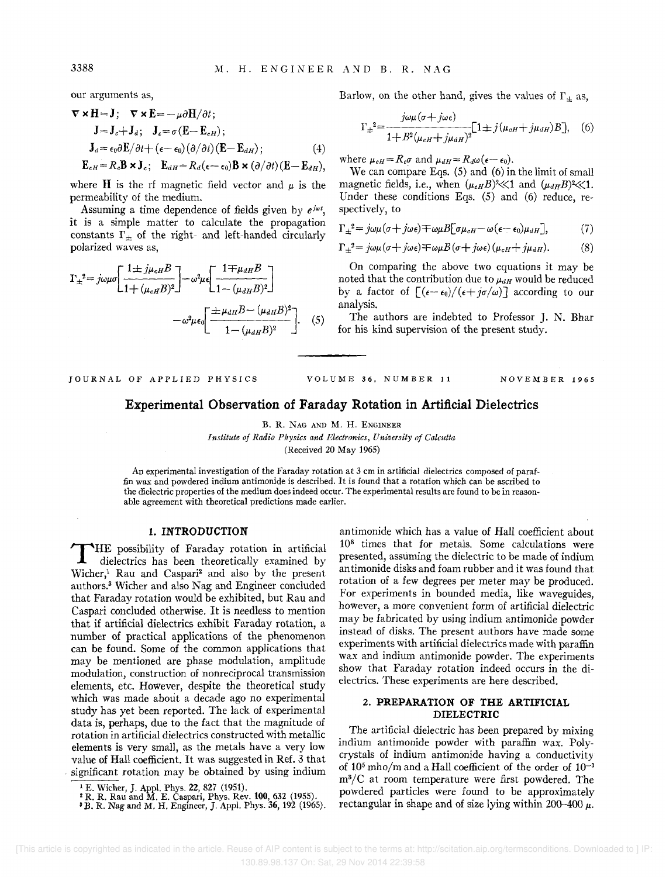our arguments as,

$$
\nabla \times \mathbf{H} = \mathbf{J}; \quad \nabla \times \mathbf{E} = -\mu \partial \mathbf{H} / \partial t; \n\mathbf{J} = \mathbf{J}_c + \mathbf{J}_d; \quad \mathbf{J}_c = \sigma(\mathbf{E} - \mathbf{E}_{cH}); \n\mathbf{J}_d = \epsilon_0 \partial \mathbf{E} / \partial t + (\epsilon - \epsilon_0) (\partial / \partial t) (\mathbf{E} - \mathbf{E}_{dH}); \n\mathbf{E}_{cH} = R_c \mathbf{B} \times \mathbf{J}_c; \quad \mathbf{E}_{dH} = R_d (\epsilon - \epsilon_0) \mathbf{B} \times (\partial / \partial t) (\mathbf{E} - \mathbf{E}_{dH}),
$$
\n(4)

where **H** is the rf magnetic field vector and  $\mu$  is the permeability of the medium.

Assuming a time dependence of fields given by  $e^{j\omega t}$ , it is a simple matter to calculate the propagation constants  $\Gamma_{\pm}$  of the right- and left-handed circularly polarized waves as,

$$
\Gamma_{\pm}^{2} = j\omega\mu\sigma \left[ \frac{1 \pm j\mu_{\text{eff}}B}{1 + (\mu_{\text{eff}}B)^{2}} \right] - \omega^{2}\mu\epsilon \left[ \frac{1 \mp \mu_{\text{diff}}B}{1 - (\mu_{\text{diff}}B)^{2}} \right]
$$

$$
-\omega^{2}\mu\epsilon_{0} \left[ \frac{\pm \mu_{\text{diff}}B - (\mu_{\text{diff}}B)^{2}}{1 - (\mu_{\text{diff}}B)^{2}} \right]. \quad (5)
$$

Barlow, on the other hand, gives the values of  $\Gamma_{\pm}$  as,

$$
\Gamma_{\pm}^{2} = \frac{j\omega\mu(\sigma + j\omega\epsilon)}{1 + B^{2}(\mu_{\text{eff}} + j\mu_{\text{diff}})^{2}} [1 \pm j(\mu_{\text{eff}} + j\mu_{\text{diff}})B], \quad (6)
$$

where  $\mu_{cH} = R_c \sigma$  and  $\mu_{dH} = R_d \omega (\epsilon - \epsilon_0)$ .

We can compare Egs. (5) and (6) in the limit of small magnetic fields, i.e., when  $(\mu_{\text{eff}}B)^2 \ll 1$  and  $(\mu_{\text{df}}B)^2 \ll 1$ . Under these conditions Eqs.  $(5)$  and  $(6)$  reduce, respectively, to

$$
\Gamma_{\pm}^{2} = j\omega\mu(\sigma + j\omega\epsilon) \mp \omega\mu B[\sigma\mu_{\text{eff}} - \omega(\epsilon - \epsilon_0)\mu_{\text{d}}], \tag{7}
$$

$$
\Gamma_{\pm}^{2} = j\omega\mu(\sigma + j\omega\epsilon) \mp \omega\mu B(\sigma + j\omega\epsilon) (\mu_{cH} + j\mu_{dH}). \tag{8}
$$

On comparing the above two equations it may be noted that the contribution due to  $\mu_{dH}$  would be reduced by a factor of  $[(\epsilon-\epsilon_0)/(\epsilon+j\sigma/\omega)]$  according to our analysis.

The authors are indebted to Professor J. N. Bhar for his kind supervision of the present study.

#### JOURNAL OF APPLIED PHYSICS VOLUME 36, NUMBER 11 NOVEMBER 1965

## **Experimental Observation of Faraday Rotation in Artificial Dielectrics**

B. R. NAG AND M. H. ENGINEER

*Institute of Radio Physics and Electronics, University of Calcutta* 

(Received 20 May 1965)

An experimental investigation of the Faraday rotation at  $3 \text{ cm}$  in artificial dielectrics composed of paraffin wax and powdered indium antimonide is described. It is found that a rotation which can be ascribed to the dielectric properties of the medium does indeed occur. The experimental results are found to be in reasonable agreement with theoretical predictions made earlier.

## **1. INTRODUCTION**

HE possibility of Faraday rotation in artificial dielectrics has been theoretically examined by Wicher,<sup>1</sup> Rau and Caspari<sup>2</sup> and also by the present authors.<sup>3</sup> Wicher and also Nag and Engineer concluded that Faraday rotation would be exhibited, but Rau and Caspari concluded otherwise. It is needless to mention that if artificial dielectrics exhibit Faraday rotation, a number of practical applications of the phenomenon can be found. Some of the common applications that may be mentioned are phase modulation, amplitude modulation, construction of nonreciprocal transmission elements, etc. However, despite the theoretical study which was made about a decade ago no experimental study has yet been reported. The lack of experimental data is, perhaps, due to the fact that the magnitude of rotation in artificial dielectrics constructed with metallic elements is very small, as the metals have a very low value of Hall coefficient. It was suggested in Ref. 3 that . significant rotation may be obtained by using indium

antimonide which has a value of Hall coefficient about  $10<sup>8</sup>$  times that for metals. Some calculations were presented, assuming the dielectric to be made of indium antimonide disks and foam rubber and it was found that rotation of a few degrees per meter may be produced. For experiments in bounded media, like waveguides, however, a more convenient form of artificial dielectric may be fabricated by using indium antimonide powder instead of disks. The present authors have made some experiments with artificial dielectrics made with paraffin wax and indium antimonide powder. The experiments show that Faraday rotation indeed occurs in the dielectrics. These experiments are here described.

## 2. **PREPARATION OF THE ARTIFICIAL DIELECTRIC**

The artificial dielectric has been prepared by mixing indium antimonide powder with paraffin wax. Polycrystals of indium antimonide having a conductivity of  $10^5$  mho/m and a Hall coefficient of the order of  $10^{-3}$ m<sup>3</sup> /C at room temperature were first powdered. The powdered particles were found to be approximately rectangular in shape and of size lying within 200-400  $\mu$ .

<sup>&</sup>lt;sup>1</sup> E. Wicher, J. Appl. Phys. 22, 827 (1951).<br><sup>2</sup> R. R. Rau and M. E. Caspari, Phys. Rev. 100, 632 (1955).<br><sup>3</sup> B. R. Nag and M. H. Engineer, J. Appl. Phys. 36, 192 (1965).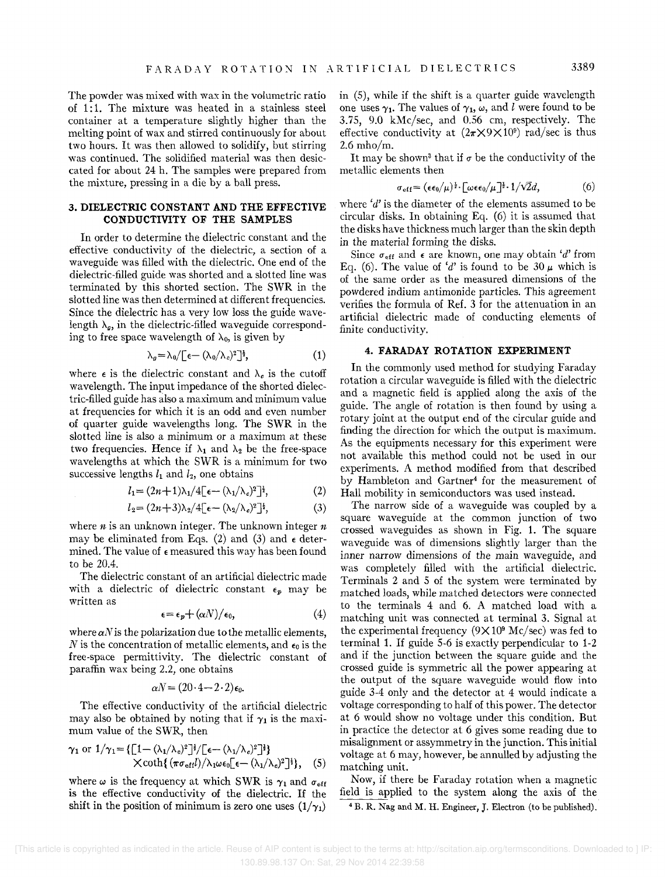The powder was mixed with wax in the volumetric ratio of 1:1. The mixture was heated in a stainless steel container at a temperature slightly higher than the melting point of wax and stirred continuously for about two hours. It was then allowed to solidify, but stirring was continued. The solidified material was then desiccated for about 24 h. The samples were prepared from the mixture, pressing in a die by a ball press.

## **3. DIELECTRIC CONSTANT AND THE EFFECTIVE CONDUCTIVITY OF THE SAMPLES**

In order to determine the dielectric constant and the effective conductivity of the dielectric, a section of a waveguide was filled with the dielectric. One end of the dielectric-filled guide was shorted and a slotted line was terminated by this shorted section. The SWR in the slotted line was then determined at different frequencies. Since the dielectric has a very low loss the guide wavelength  $\lambda_q$ , in the dielectric-filled waveguide corresponding to free space wavelength of  $\lambda_0$ , is given by

$$
\lambda_g = \lambda_0 / \left[ \epsilon - (\lambda_0 / \lambda_c)^2 \right]^{1/2}, \tag{1}
$$

where  $\epsilon$  is the dielectric constant and  $\lambda_{\epsilon}$  is the cutoff wavelength. The input impedance of the shorted dielectric-filled guide has also a maximum and minimum value at frequencies for which it is an odd and even number of quarter guide wavelengths long. The SWR in the slotted line is also a minimum or a maximum at these two frequencies. Hence if  $\lambda_1$  and  $\lambda_2$  be the free-space wavelengths at which the SWR is a minimum for two successive lengths  $l_1$  and  $l_2$ , one obtains

$$
l_1 = (2n+1)\lambda_1/4[\epsilon - (\lambda_1/\lambda_c)^2]^{\frac{1}{2}},\tag{2}
$$

$$
l_2 = (2n+3)\lambda_2/4[\epsilon - (\lambda_2/\lambda_c)^2]^{\frac{1}{2}}, \qquad (3)
$$

where *n* is an unknown integer. The unknown integer *n*  may be eliminated from Eqs. (2) and (3) and  $\epsilon$  determined. The value of  $\epsilon$  measured this way has been found to be 20.4.

The dielectric constant of an artificial dielectric made with a dielectric of dielectric constant  $\epsilon_p$  may be written as

$$
\epsilon = \epsilon_p + (\alpha N) / \epsilon_0, \tag{4}
$$

where  $\alpha$ N is the polarization due to the metallic elements, N is the concentration of metallic elements, and  $\epsilon_0$  is the free-space permittivity. The dielectric constant of paraffin wax being 2.2, one obtains

$$
\alpha N = (20 \cdot 4 - 2 \cdot 2) \epsilon_0.
$$

The effective conductivity of the artificial dielectric may also be obtained by noting that if  $\gamma_1$  is the maximum value of the SWR, then

$$
\gamma_1 \text{ or } 1/\gamma_1 = \{ \left[ 1 - (\lambda_1/\lambda_c)^2 \right]^{\frac{1}{2}} / \left[ \epsilon - (\lambda_1/\lambda_c)^2 \right]^{\frac{1}{2}} \} \times \coth\{ \left( \pi \sigma_{\text{eff}} l \right) / \lambda_1 \omega \epsilon_0 \left[ \epsilon - (\lambda_1/\lambda_c)^2 \right]^{\frac{1}{2}} \}, \quad (5)
$$

where  $\omega$  is the frequency at which SWR is  $\gamma_1$  and  $\sigma_{eff}$ is the effective conductivity of the dielectric. If the shift in the position of minimum is zero one uses  $(1/\gamma_1)$ 

in (5), while if the shift is a quarter guide wavelength one uses  $\gamma_1$ . The values of  $\gamma_1$ ,  $\omega$ , and *l* were found to be 3.75, 9.0 kMc/sec, and 0.56 em, respectively. The effective conductivity at  $(2\pi \times 9 \times 10^9)$  rad/sec is thus 2.6 mho/m.

It may be shown<sup>3</sup> that if  $\sigma$  be the conductivity of the metallic elements then

$$
\sigma_{\rm eff} = (\epsilon \epsilon_0 / \mu)^{\frac{1}{2}} \cdot [\omega \epsilon_0 / \mu]^{\frac{1}{2}} \cdot 1 / \sqrt{2} d, \qquad (6)
$$

where  $d'$  is the diameter of the elements assumed to be circular disks. In obtaining Eq. (6) it is assumed that the disks have thickness much larger than the skin depth in the material forming the disks.

Since  $\sigma_{\text{eff}}$  and  $\epsilon$  are known, one may obtain *'d'* from Eq. (6). The value of 'd' is found to be 30  $\mu$  which is of the same order as the measured dimensions of the powdered indium antimonide particles. This agreement verifies the formula of Ref. 3 for the attenuation in an artificial dielectric made of conducting elements of finite conductivity.

## **4. FARADAY ROTATION EXPERIMENT**

In the commonly used method for studying Faraday rotation a circular waveguide is filled with the dielectric and a magnetic field is applied along the axis of the guide. The angle of rotation is then found by using a rotary joint at the output end of the circular guide and finding the direction for which the output is maximum. As the equipments necessary for this experiment were not available this method could not be used in our experiments. A method modified from that described by Hambleton and Gartner<sup>4</sup> for the measurement of Hall mobility in semiconductors was used instead.

The narrow side of a waveguide was coupled by a square waveguide at the common junction of two crossed waveguides as shown in Fig. 1. The square waveguide was of dimensions slightly larger than the inner narrow dimensions of the main waveguide, and was completely filled with the artificial dielectric. Terminals 2 and 5 of the system were terminated by matched loads, while matched detectors were connected to the terminals 4 and 6. A matched load with a matching unit was connected at terminal 3. Signal at the experimental frequency  $(9 \times 10^9 \text{ Mc/sec})$  was fed to terminal 1. If guide 5-6 is exactly perpendicular to 1-2 and if the junction between the square guide and the crossed guide is symmetric all the power appearing at the output of the square waveguide would flow into guide 3-4 only and the detector at 4 would indicate a voltage corresponding to half of this power. The detector at 6 would show no voltage under this condition. But in practice the detector at 6 gives some reading due to misalignment or assymmetry in the junction. This initial voltage at 6 may, however, be annulled by adjusting the matching unit.

Now, if there be Faraday rotation when a magnetic field is applied to the system along the axis of the <sup>4</sup>B. R. Nag and M. H. Engineer, J. Electron (to be published).